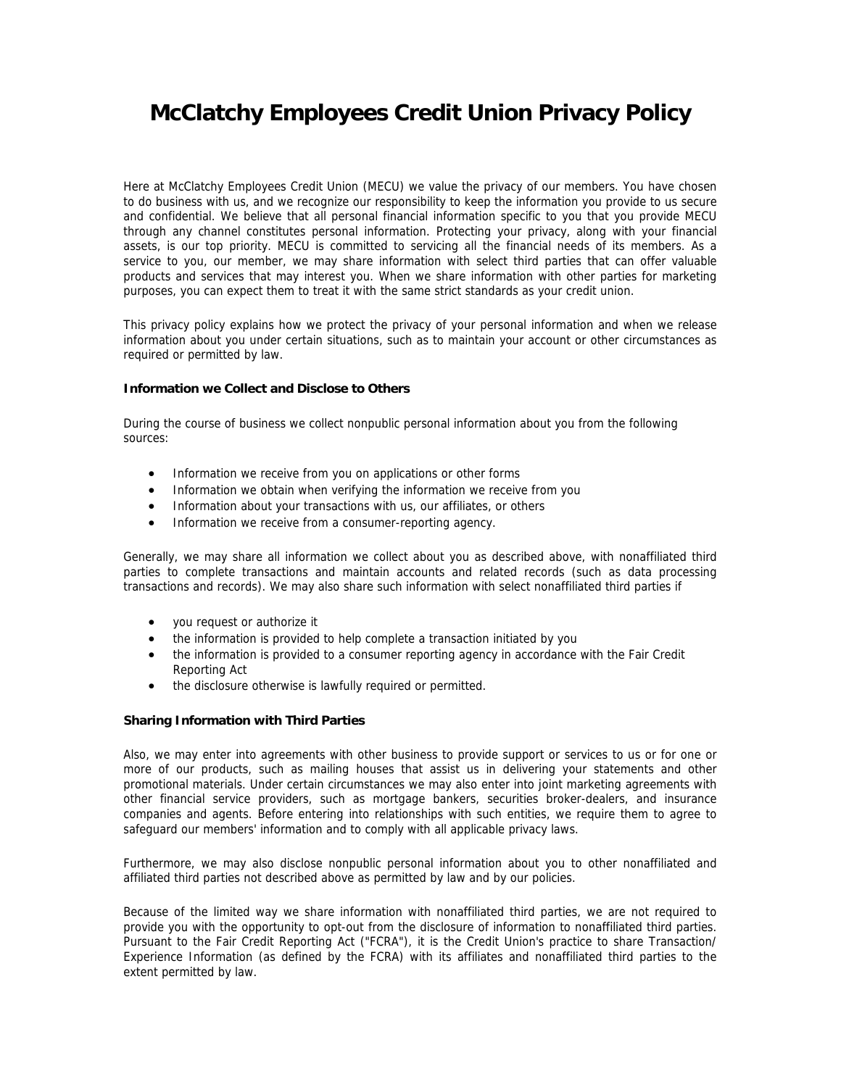# **McClatchy Employees Credit Union Privacy Policy**

Here at McClatchy Employees Credit Union (MECU) we value the privacy of our members. You have chosen to do business with us, and we recognize our responsibility to keep the information you provide to us secure and confidential. We believe that all personal financial information specific to you that you provide MECU through any channel constitutes personal information. Protecting your privacy, along with your financial assets, is our top priority. MECU is committed to servicing all the financial needs of its members. As a service to you, our member, we may share information with select third parties that can offer valuable products and services that may interest you. When we share information with other parties for marketing purposes, you can expect them to treat it with the same strict standards as your credit union.

This privacy policy explains how we protect the privacy of your personal information and when we release information about you under certain situations, such as to maintain your account or other circumstances as required or permitted by law.

## **Information we Collect and Disclose to Others**

During the course of business we collect nonpublic personal information about you from the following sources:

- Information we receive from you on applications or other forms
- Information we obtain when verifying the information we receive from you
- Information about your transactions with us, our affiliates, or others
- Information we receive from a consumer-reporting agency.

Generally, we may share all information we collect about you as described above, with nonaffiliated third parties to complete transactions and maintain accounts and related records (such as data processing transactions and records). We may also share such information with select nonaffiliated third parties if

- you request or authorize it
- the information is provided to help complete a transaction initiated by you
- the information is provided to a consumer reporting agency in accordance with the Fair Credit Reporting Act
- the disclosure otherwise is lawfully required or permitted.

# **Sharing Information with Third Parties**

Also, we may enter into agreements with other business to provide support or services to us or for one or more of our products, such as mailing houses that assist us in delivering your statements and other promotional materials. Under certain circumstances we may also enter into joint marketing agreements with other financial service providers, such as mortgage bankers, securities broker-dealers, and insurance companies and agents. Before entering into relationships with such entities, we require them to agree to safeguard our members' information and to comply with all applicable privacy laws.

Furthermore, we may also disclose nonpublic personal information about you to other nonaffiliated and affiliated third parties not described above as permitted by law and by our policies.

Because of the limited way we share information with nonaffiliated third parties, we are not required to provide you with the opportunity to opt-out from the disclosure of information to nonaffiliated third parties. Pursuant to the Fair Credit Reporting Act ("FCRA"), it is the Credit Union's practice to share Transaction/ Experience Information (as defined by the FCRA) with its affiliates and nonaffiliated third parties to the extent permitted by law.